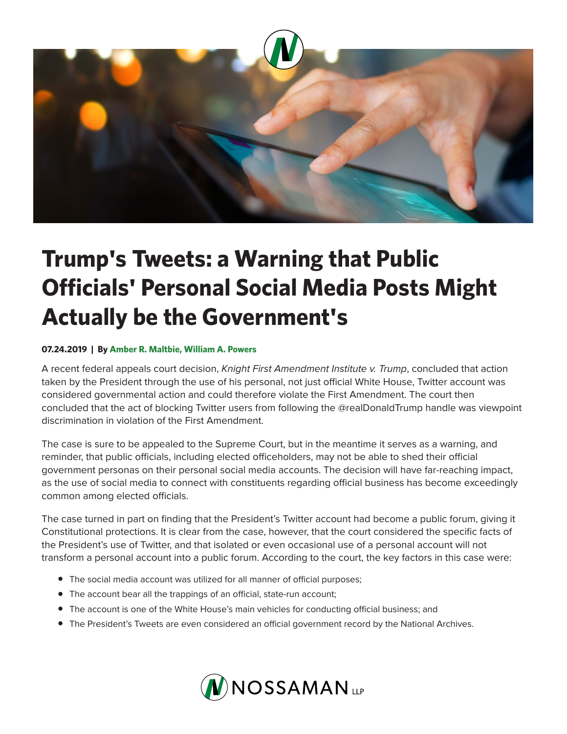

## **Trump's Tweets: a Warning that Public Officials' Personal Social Media Posts Might Actually be the Government's**

## **07.24.2019 | By Amber R. Maltbie, William A. Powers**

A recent federal appeals court decision, *Knight First Amendment Institute v. Trump*, concluded that action taken by the President through the use of his personal, not just official White House, Twitter account was considered governmental action and could therefore violate the First Amendment. The court then concluded that the act of blocking Twitter users from following the @realDonaldTrump handle was viewpoint discrimination in violation of the First Amendment.

The case is sure to be appealed to the Supreme Court, but in the meantime it serves as a warning, and reminder, that public officials, including elected officeholders, may not be able to shed their official government personas on their personal social media accounts. The decision will have far-reaching impact, as the use of social media to connect with constituents regarding official business has become exceedingly common among elected officials.

The case turned in part on finding that the President's Twitter account had become a public forum, giving it Constitutional protections. It is clear from the case, however, that the court considered the specific facts of the President's use of Twitter, and that isolated or even occasional use of a personal account will not transform a personal account into a public forum. According to the court, the key factors in this case were:

- The social media account was utilized for all manner of official purposes;
- The account bear all the trappings of an official, state-run account;
- The account is one of the White House's main vehicles for conducting official business; and
- The President's Tweets are even considered an official government record by the National Archives.